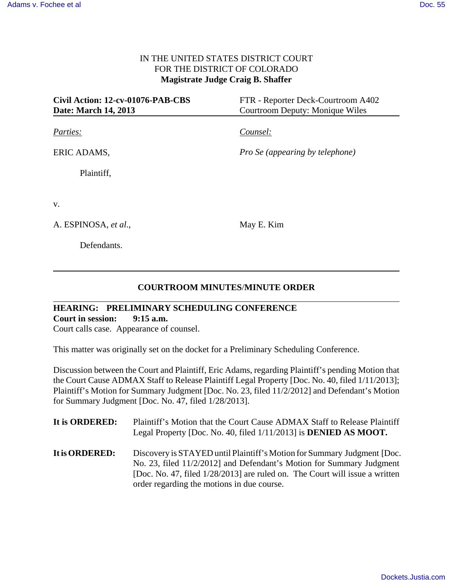## IN THE UNITED STATES DISTRICT COURT FOR THE DISTRICT OF COLORADO **Magistrate Judge Craig B. Shaffer**

| Civil Action: 12-cv-01076-PAB-CBS | FTR - Reporter Deck-Courtroom A402     |  |
|-----------------------------------|----------------------------------------|--|
| Date: March 14, 2013              | <b>Courtroom Deputy: Monique Wiles</b> |  |
| Parties:                          | Counsel:                               |  |
| ERIC ADAMS,                       | <i>Pro Se (appearing by telephone)</i> |  |
| Plaintiff,                        |                                        |  |
| V.                                |                                        |  |
| A. ESPINOSA, et al.,              | May E. Kim                             |  |
| Defendants.                       |                                        |  |

## **COURTROOM MINUTES**/**MINUTE ORDER**

## **HEARING: PRELIMINARY SCHEDULING CONFERENCE Court in session: 9:15 a.m.**

Court calls case. Appearance of counsel.

This matter was originally set on the docket for a Preliminary Scheduling Conference.

Discussion between the Court and Plaintiff, Eric Adams, regarding Plaintiff's pending Motion that the Court Cause ADMAX Staff to Release Plaintiff Legal Property [Doc. No. 40, filed 1/11/2013]; Plaintiff's Motion for Summary Judgment [Doc. No. 23, filed 11/2/2012] and Defendant's Motion for Summary Judgment [Doc. No. 47, filed 1/28/2013].

| It is ORDERED: | Plaintiff's Motion that the Court Cause ADMAX Staff to Release Plaintiff<br>Legal Property [Doc. No. 40, filed 1/11/2013] is <b>DENIED AS MOOT.</b>                                                                                                                             |
|----------------|---------------------------------------------------------------------------------------------------------------------------------------------------------------------------------------------------------------------------------------------------------------------------------|
| It is ORDERED: | Discovery is STAYED until Plaintiff's Motion for Summary Judgment [Doc.<br>No. 23, filed 11/2/2012] and Defendant's Motion for Summary Judgment<br>[Doc. No. 47, filed $1/28/2013$ ] are ruled on. The Court will issue a written<br>order regarding the motions in due course. |